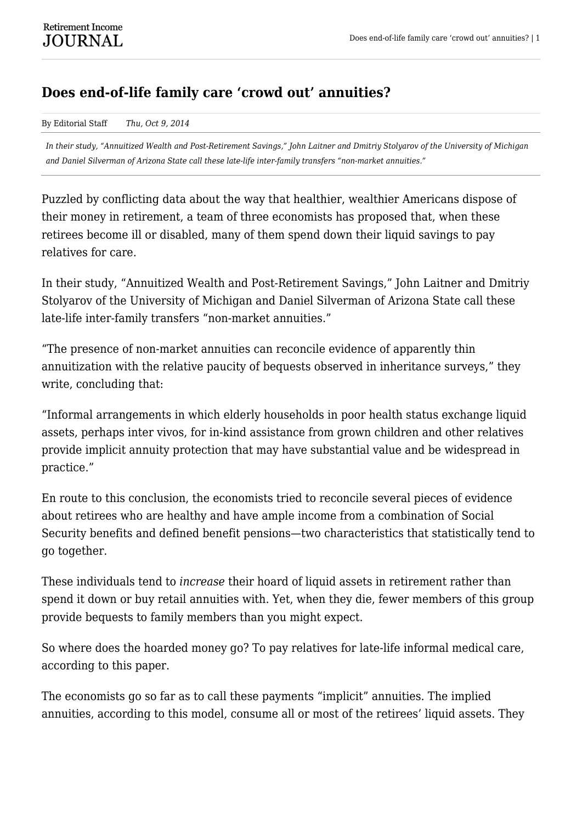## **Does end-of-life family care 'crowd out' annuities?**

By Editorial Staff *Thu, Oct 9, 2014*

*In their study, "Annuitized Wealth and Post-Retirement Savings," John Laitner and Dmitriy Stolyarov of the University of Michigan and Daniel Silverman of Arizona State call these late-life inter-family transfers "non-market annuities."*

Puzzled by conflicting data about the way that healthier, wealthier Americans dispose of their money in retirement, a team of three economists has proposed that, when these retirees become ill or disabled, many of them spend down their liquid savings to pay relatives for care.

In their study, "Annuitized Wealth and Post-Retirement Savings," John Laitner and Dmitriy Stolyarov of the University of Michigan and Daniel Silverman of Arizona State call these late-life inter-family transfers "non-market annuities."

"The presence of non-market annuities can reconcile evidence of apparently thin annuitization with the relative paucity of bequests observed in inheritance surveys," they write, concluding that:

"Informal arrangements in which elderly households in poor health status exchange liquid assets, perhaps inter vivos, for in-kind assistance from grown children and other relatives provide implicit annuity protection that may have substantial value and be widespread in practice."

En route to this conclusion, the economists tried to reconcile several pieces of evidence about retirees who are healthy and have ample income from a combination of Social Security benefits and defined benefit pensions—two characteristics that statistically tend to go together.

These individuals tend to *increase* their hoard of liquid assets in retirement rather than spend it down or buy retail annuities with. Yet, when they die, fewer members of this group provide bequests to family members than you might expect.

So where does the hoarded money go? To pay relatives for late-life informal medical care, according to this paper.

The economists go so far as to call these payments "implicit" annuities. The implied annuities, according to this model, consume all or most of the retirees' liquid assets. They